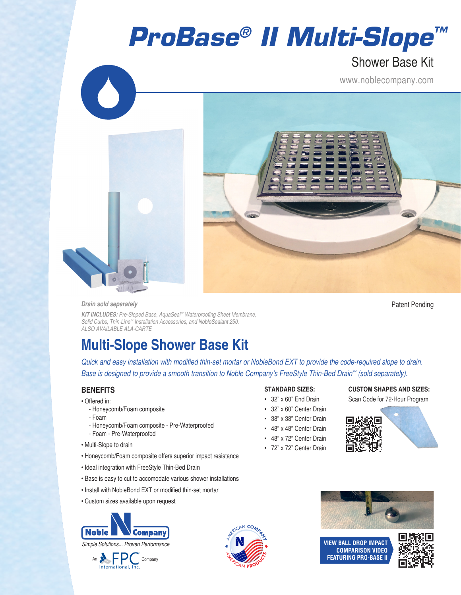## *ProBase® II Multi-Slope™*

### Shower Base Kit

www.noblecompany.com





#### *Drain sold separately*

Patent Pending

*KIT INCLUDES: Pre-Sloped Base, AquaSeal™ Waterproofing Sheet Membrane, Solid Curbs, Thin-Line™ Installation Accessories, and NobleSealant 250. ALSO AVAILABLE ALA-CARTE*

### **Multi-Slope Shower Base Kit**

*Quick and easy installation with modified thin-set mortar or NobleBond EXT to provide the code-required slope to drain. Base is designed to provide a smooth transition to Noble Company's FreeStyle Thin-Bed Drain™ (sold separately).*

### **BENEFITS**

- Offered in:
	- Honeycomb/Foam composite
	- Foam
	- Honeycomb/Foam composite Pre-Waterproofed
	- Foam Pre-Waterproofed
- Multi-Slope to drain
- Honeycomb/Foam composite offers superior impact resistance
- Ideal integration with FreeStyle Thin-Bed Drain
- Base is easy to cut to accomodate various shower installations
- Install with NobleBond EXT or modified thin-set mortar
- Custom sizes available upon request





## **CAN PRODUCTION** <sup>A</sup>M<sup>E</sup>R<sup>I</sup>CA<sup>N</sup> **<sup>C</sup>OMPAN<sup>Y</sup>**

#### **STANDARD SIZES:**

- 32" x 60" End Drain
- 32" x 60" Center Drain
- 38" x 38" Center Drain
- 48" x 48" Center Drain
- 48" x 72" Center Drain
- 
- 72" x 72" Center Drain

### **CUSTOM SHAPES AND SIZES:** Scan Code for 72-Hour Program





**VIEW BALL DROP IMPACT COMPARISON VIDEO FEATURING PRO-BASE II**